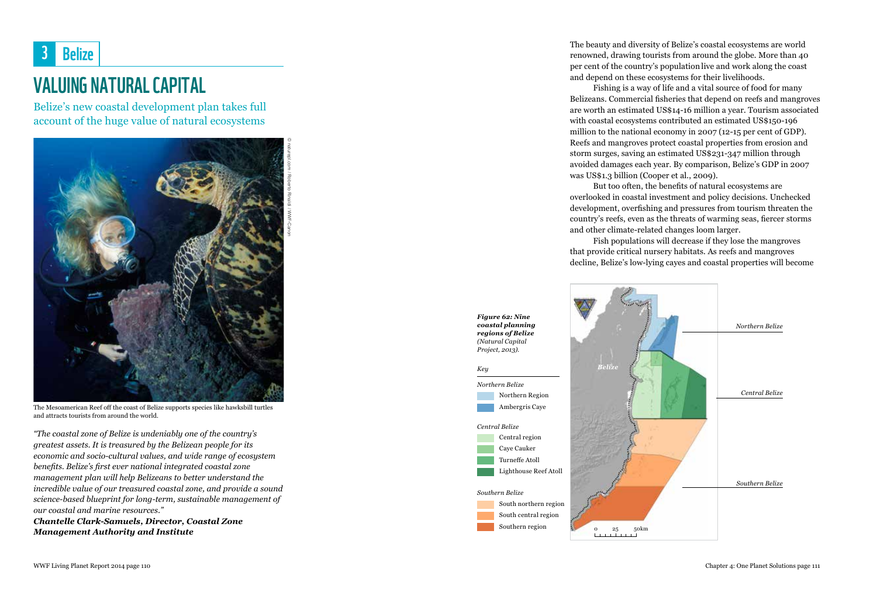

## VALUING NATURAL CAPITAL

Belize's new coastal development plan takes full account of the huge value of natural ecosystems



The Mesoamerican Reef off the coast of Belize supports species like hawksbill turtles and attracts tourists from around the world.

*"The coastal zone of Belize is undeniably one of the country's greatest assets. It is treasured by the Belizean people for its economic and socio-cultural values, and wide range of ecosystem benefits. Belize's first ever national integrated coastal zone management plan will help Belizeans to better understand the incredible value of our treasured coastal zone, and provide a sound science-based blueprint for long-term, sustainable management of our coastal and marine resources."* 

*Chantelle Clark-Samuels, Director, Coastal Zone Management Authority and Institute*

The beauty and diversity of Belize's coastal ecosystems are world renowned, drawing tourists from around the globe. More than 40 per cent of the country's population live and work along the coast and depend on these ecosystems for their livelihoods.

Fishing is a way of life and a vital source of food for many Belizeans. Commercial fisheries that depend on reefs and mangroves are worth an estimated US\$14-16 million a year. Tourism associated with coastal ecosystems contributed an estimated US\$150-196 million to the national economy in 2007 (12-15 per cent of GDP). Reefs and mangroves protect coastal properties from erosion and storm surges, saving an estimated US\$231-347 million through avoided damages each year. By comparison, Belize's GDP in 2007 was US\$1.3 billion (Cooper et al., 2009).

But too often, the benefits of natural ecosystems are overlooked in coastal investment and policy decisions. Unchecked development, overfishing and pressures from tourism threaten the country's reefs, even as the threats of warming seas, fiercer storms and other climate-related changes loom larger.

Fish populations will decrease if they lose the mangroves that provide critical nursery habitats. As reefs and mangroves decline, Belize's low-lying cayes and coastal properties will become